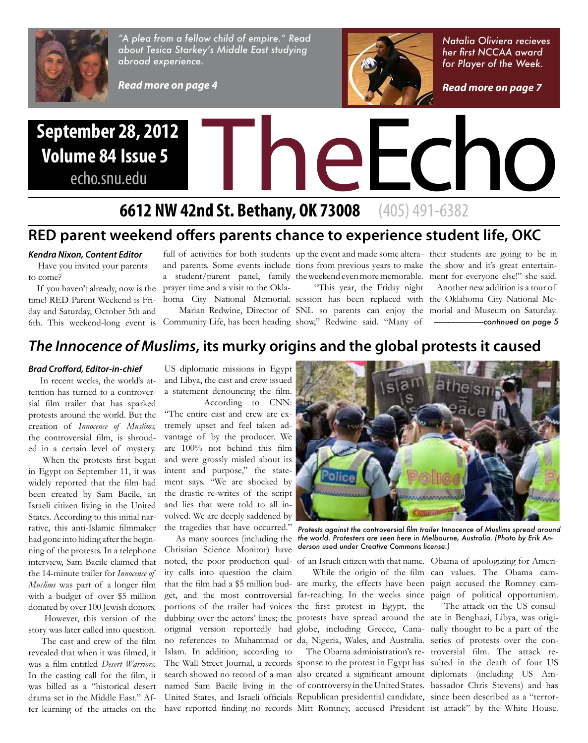

*"A plea from a fellow child of empire." Read about Tesica Starkey's Middle East studying abroad experience.*

*Read more on page 4*

# **Volume 84 Issue 5**

echo.snu.edu



## **6612 NW 42nd St. Bethany, OK 73008** (405) 491-6382

#### **RED parent weekend offers parents chance to experience student life, OKC**

#### *Kendra Nixon, Content Editor*

 Have you invited your parents to come?

 If you haven't already, now is the time! RED Parent Weekend is Friday and Saturday, October 5th and

prayer time and a visit to the Okla-

full of activities for both students up the event and made some altera- their students are going to be in "This year, the Friday night

6th. This weekend-long event is Community Life, has been heading show," Redwine said. "Many of

and parents. Some events include tions from previous years to make the show and it's great entertaina student/parent panel, family the weekend even more memorable. ment for everyone else!" she said. Another new addition is a tour of

*Natalia Oliviera recieves* 

homa City National Memorial. session has been replaced with the Oklahoma City National Me- Marian Redwine, Director of SNL so parents can enjoy the morial and Museum on Saturday. *------------------------------continued on page 5*

#### *The Innocence of Muslims***, its murky origins and the global protests it caused**

#### *Brad Crofford, Editor-in-chief*

 In recent weeks, the world's attention has turned to a controversial film trailer that has sparked protests around the world. But the creation of *Innocence of Muslims,*  the controversial film, is shrouded in a certain level of mystery.

 When the protests first began in Egypt on September 11, it was widely reported that the film had been created by Sam Bacile, an Israeli citizen living in the United States. According to this initial narrative, this anti-Islamic filmmaker had gone into hiding after the beginning of the protests. In a telephone interview, Sam Bacile claimed that the 14-minute trailer for *Innocence of Muslims* was part of a longer film with a budget of over \$5 million donated by over 100 Jewish donors.

 However, this version of the story was later called into question.

 The cast and crew of the film revealed that when it was filmed, it was a film entitled *Desert Warriors.*  In the casting call for the film, it was billed as a "historical desert drama set in the Middle East." After learning of the attacks on the

US diplomatic missions in Egypt and Libya, the cast and crew issued a statement denouncing the film.

 According to CNN: "The entire cast and crew are extremely upset and feel taken advantage of by the producer. We are 100% not behind this film and were grossly misled about its intent and purpose," the statement says. "We are shocked by the drastic re-writes of the script and lies that were told to all involved. We are deeply saddened by

Christian Science Monitor) have noted, the poor production qual-of an Israeli citizen with that name. Obama of apologizing for Ameriity calls into question the claim that the film had a \$5 million bud-are murky, the effects have been paign accused the Romney camget, and the most controversial far-reaching. In the weeks since paign of political opportunism. portions of the trailer had voices the first protest in Egypt, the dubbing over the actors' lines; the protests have spread around the ate in Benghazi, Libya, was origioriginal version reportedly had globe, including Greece, Cana-nally thought to be a part of the no references to Muhammad or da, Nigeria, Wales, and Australia. series of protests over the con-Islam. In addition, according to The Wall Street Journal, a records sponse to the protest in Egypt has sulted in the death of four US search showed no record of a man also created a significant amount diplomats (including US Amnamed Sam Bacile living in the of controversy in the United States. bassador Chris Stevens) and has United States, and Israeli officials Republican presidential candidate, since been described as a "terrorhave reported finding no records Mitt Romney, accused President ist attack" by the White House.



the tragedies that have occurred." *Protests against the controversial film trailer Innocence of Muslims spread around*  As many sources (including the *the world. Protesters are seen here in Melbourne, Australia. (Photo by Erik Anderson used under Creative Commons license.)*

While the origin of the film can values. The Obama cam-

 The Obama administration's re-troversial film. The attack re-The attack on the US consul-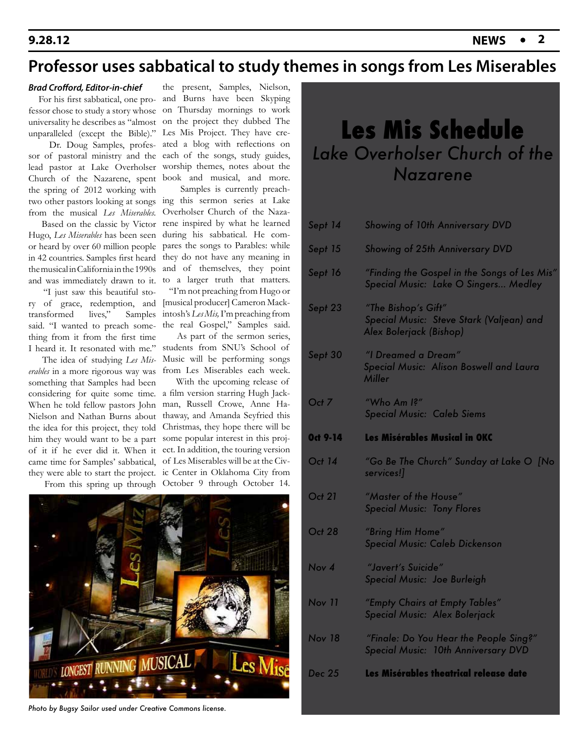#### **9.28.12**

## **Professor uses sabbatical to study themes in songs from Les Miserables**

#### *Brad Crofford, Editor-in-chief*

 For his first sabbatical, one professor chose to study a story whose universality he describes as "almost on the project they dubbed The unparalleled (except the Bible)." Les Mis Project. They have cre-

sor of pastoral ministry and the lead pastor at Lake Overholser Church of the Nazarene, spent the spring of 2012 working with two other pastors looking at songs from the musical *Les Miserables.*

 Based on the classic by Victor Hugo, *Les Miserables* has been seen or heard by over 60 million people in 42 countries. Samples first heard the musical in California in the 1990s and was immediately drawn to it. to a larger truth that matters.

 "I just saw this beautiful story of grace, redemption, and transformed lives," Samples said. "I wanted to preach something from it from the first time I heard it. It resonated with me."

 The idea of studying *Les Miserables* in a more rigorous way was something that Samples had been considering for quite some time. a film version starring Hugh Jack-When he told fellow pastors John Nielson and Nathan Burns about the idea for this project, they told him they would want to be a part of it if he ever did it. When it came time for Samples' sabbatical, they were able to start the project. ic Center in Oklahoma City from

 Dr. Doug Samples, profes-ated a blog with reflections on the present, Samples, Nielson, and Burns have been Skyping on Thursday mornings to work each of the songs, study guides, worship themes, notes about the book and musical, and more.

> Samples is currently preaching this sermon series at Lake Overholser Church of the Nazarene inspired by what he learned during his sabbatical. He compares the songs to Parables: while they do not have any meaning in and of themselves, they point

 "I'm not preaching from Hugo or [musical producer] Cameron Mackintosh's *Les Mis,* I'm preaching from the real Gospel," Samples said.

 As part of the sermon series, students from SNU's School of Music will be performing songs from Les Miserables each week.

 From this spring up through October 9 through October 14. With the upcoming release of man, Russell Crowe, Anne Hathaway, and Amanda Seyfried this Christmas, they hope there will be some popular interest in this project. In addition, the touring version of Les Miserables will be at the Civ-



*Photo by Bugsy Sailor used under Creative Commons license.*

## **Les Mis Schedule** *Lake Overholser Church of the Nazarene*

| Sept 14         | <b>Showing of 10th Anniversary DVD</b>                                                     |
|-----------------|--------------------------------------------------------------------------------------------|
| Sept 15         | <b>Showing of 25th Anniversary DVD</b>                                                     |
| Sept 16         | "Finding the Gospel in the Songs of Les Mis"<br>Special Music: Lake O Singers Medley       |
| Sept 23         | "The Bishop's Gift"<br>Special Music: Steve Stark (Valjean) and<br>Alex Bolerjack (Bishop) |
| Sept 30         | "I Dreamed a Dream"<br>Special Music: Alison Boswell and Laura<br><b>Miller</b>            |
| Oct 7           | "Who Am $\mathsf{I}$ ?"<br><b>Special Music: Caleb Siems</b>                               |
| <b>Oct 9-14</b> | <b>Les Misérables Musical in OKC</b>                                                       |
| Oct 14          | "Go Be The Church" Sunday at Lake O [No<br>services!]                                      |
| <b>Oct 21</b>   | "Master of the House"<br><b>Special Music: Tony Flores</b>                                 |
| <b>Oct 28</b>   | "Bring Him Home"<br>Special Music: Caleb Dickenson                                         |
| Nov 4           | "Javert's Suicide"<br>Special Music: Joe Burleigh                                          |
|                 |                                                                                            |
| <b>Nov 11</b>   | "Empty Chairs at Empty Tables"<br>Special Music: Alex Bolerjack                            |
| <b>Nov 18</b>   | "Finale: Do You Hear the People Sing?"<br><b>Special Music: 10th Anniversary DVD</b>       |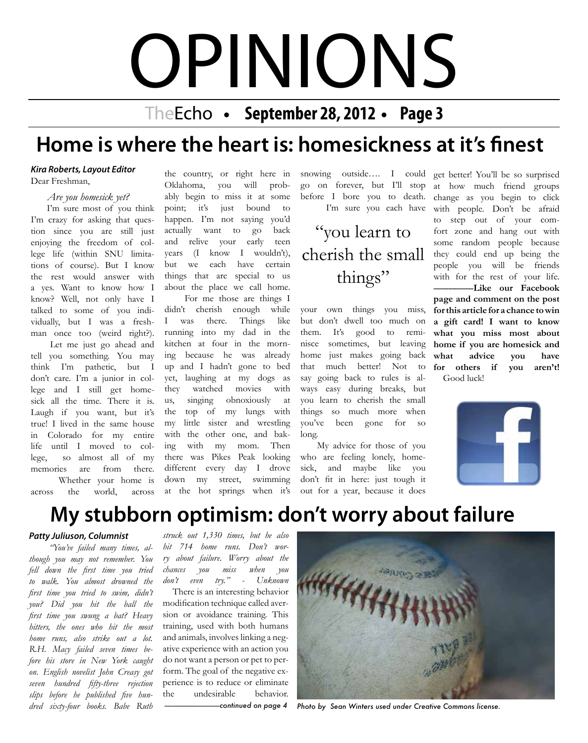# OPINIONS

TheEcho • September 28, 2012 • Page 3

## **Home is where the heart is: homesickness at it's finest**

#### *Kira Roberts, Layout Editor*

Dear Freshman,

*Are you homesick yet?*

 I'm sure most of you think I'm crazy for asking that question since you are still just enjoying the freedom of college life (within SNU limitations of course). But I know the rest would answer with a yes. Want to know how I know? Well, not only have I talked to some of you individually, but I was a freshman once too (weird right?).

 Let me just go ahead and tell you something. You may think I'm pathetic, but I don't care. I'm a junior in college and I still get homesick all the time. There it is. Laugh if you want, but it's true! I lived in the same house in Colorado for my entire life until I moved to college, so almost all of my memories are from there. Whether your home is across the world, across

the country, or right here in Oklahoma, you will probably begin to miss it at some point; it's just bound to happen. I'm not saying you'd actually want to go back and relive your early teen years (I know I wouldn't), but we each have certain things that are special to us about the place we call home.

 For me those are things I didn't cherish enough while I was there. Things like running into my dad in the kitchen at four in the morning because he was already up and I hadn't gone to bed yet, laughing at my dogs as they watched movies with us, singing obnoxiously at the top of my lungs with my little sister and wrestling with the other one, and baking with my mom. Then there was Pikes Peak looking different every day I drove down my street, swimming at the hot springs when it's snowing outside…. I could go on forever, but I'll stop before I bore you to death. I'm sure you each have

"you learn to cherish the small things"

your own things you miss, but don't dwell too much on them. It's good to reminisce sometimes, but leaving home just makes going back that much better! Not to say going back to rules is always easy during breaks, but you learn to cherish the small things so much more when you've been gone for so long.

 My advice for those of you who are feeling lonely, homesick, and maybe like you don't fit in here: just tough it out for a year, because it does

get better! You'll be so surprised at how much friend groups change as you begin to click with people. Don't be afraid to step out of your comfort zone and hang out with some random people because they could end up being the people you will be friends with for the rest of your life.  $-Like$  our Facebook **page and comment on the post for this article for a chance to win a gift card! I want to know what you miss most about home if you are homesick and what advice you have for others if you aren't!** Good luck!



## **My stubborn optimism: don't worry about failure**

#### *Patty Juliuson, Columnist*

 *"You've failed many times, although you may not remember. You fell down the first time you tried to walk. You almost drowned the first time you tried to swim, didn't you? Did you hit the ball the first time you swung a bat? Heavy hitters, the ones who hit the most home runs, also strike out a lot. R.H. Macy failed seven times before his store in New York caught on. English novelist John Creasy got seven hundred fifty-three rejection slips before he published five hundred sixty-four books. Babe Ruth*

*struck out 1,330 times, but he also hit 714 home runs. Don't worry about failure. Worry about the chances you miss when you don't even try." - Unknown*

 There is an interesting behavior modification technique called aversion or avoidance training. This training, used with both humans and animals, involves linking a negative experience with an action you do not want a person or pet to perform. The goal of the negative experience is to reduce or eliminate the undesirable behavior.



*-------------------------------------continued on page 4 Photo by Sean Winters used under Creative Commons license.*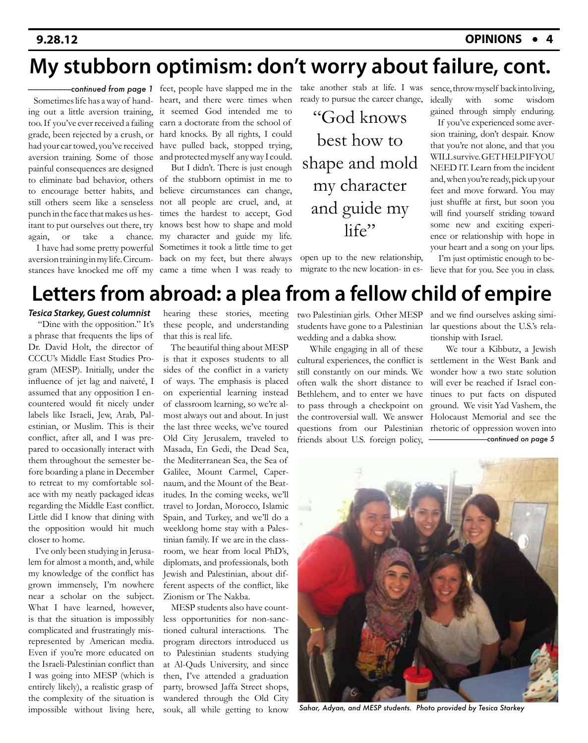## **My stubborn optimism: don't worry about failure, cont.**

painful consequences are designed

 Sometimes life has a way of hand-heart, and there were times when ing out a little aversion training, it seemed God intended me to too. If you've ever received a failing earn a doctorate from the school of grade, been rejected by a crush, or hard knocks. By all rights, I could had your car towed, you've received have pulled back, stopped trying, aversion training. Some of those and protected myself any way I could. feet, people have slapped me in the *--------------------------continued from page 1*

to eliminate bad behavior, others of the stubborn optimist in me to to encourage better habits, and believe circumstances can change, still others seem like a senseless not all people are cruel, and, at punch in the face that makes us hes-times the hardest to accept, God itant to put ourselves out there, try knows best how to shape and mold again, or take a chance. my character and guide my life. I have had some pretty powerful Sometimes it took a little time to get aversion training in my life. Circum-back on my feet, but there always stances have knocked me off my came a time when I was ready to But I didn't. There is just enough

take another stab at life. I was ready to pursue the career change,

"God knows best how to shape and mold my character and guide my life"

open up to the new relationship, migrate to the new location- in essence, throw myself back into living, ideally with some wisdom gained through simply enduring.

 If you've experienced some aversion training, don't despair. Know that you're not alone, and that you WILL survive. GET HELP IF YOU NEED IT. Learn from the incident and, when you're ready, pick up your feet and move forward. You may just shuffle at first, but soon you will find yourself striding toward some new and exciting experience or relationship with hope in your heart and a song on your lips.

 I'm just optimistic enough to believe that for you. See you in class.

## **Letters from abroad: a plea from a fellow child of empire**

#### *Tesica Starkey, Guest columnist*

 "Dine with the opposition." It's a phrase that frequents the lips of Dr. David Holt, the director of CCCU's Middle East Studies Program (MESP). Initially, under the influence of jet lag and naiveté, I assumed that any opposition I encountered would fit nicely under labels like Israeli, Jew, Arab, Palestinian, or Muslim. This is their conflict, after all, and I was prepared to occasionally interact with them throughout the semester before boarding a plane in December to retreat to my comfortable solace with my neatly packaged ideas regarding the Middle East conflict. Little did I know that dining with the opposition would hit much closer to home.

 I've only been studying in Jerusalem for almost a month, and, while my knowledge of the conflict has grown immensely, I'm nowhere near a scholar on the subject. What I have learned, however, is that the situation is impossibly complicated and frustratingly misrepresented by American media. Even if you're more educated on the Israeli-Palestinian conflict than I was going into MESP (which is entirely likely), a realistic grasp of the complexity of the situation is impossible without living here,

hearing these stories, meeting these people, and understanding that this is real life.

 The beautiful thing about MESP is that it exposes students to all sides of the conflict in a variety of ways. The emphasis is placed on experiential learning instead of classroom learning, so we're almost always out and about. In just the last three weeks, we've toured Old City Jerusalem, traveled to Masada, En Gedi, the Dead Sea, the Mediterranean Sea, the Sea of Galilee, Mount Carmel, Capernaum, and the Mount of the Beatitudes. In the coming weeks, we'll travel to Jordan, Morocco, Islamic Spain, and Turkey, and we'll do a weeklong home stay with a Palestinian family. If we are in the classroom, we hear from local PhD's, diplomats, and professionals, both Jewish and Palestinian, about different aspects of the conflict, like Zionism or The Nakba.

 MESP students also have countless opportunities for non-sanctioned cultural interactions. The program directors introduced us to Palestinian students studying at Al-Quds University, and since then, I've attended a graduation party, browsed Jaffa Street shops, wandered through the Old City souk, all while getting to know

two Palestinian girls. Other MESP students have gone to a Palestinian wedding and a dabka show.

 While engaging in all of these cultural experiences, the conflict is still constantly on our minds. We often walk the short distance to Bethlehem, and to enter we have to pass through a checkpoint on the controversial wall. We answer questions from our Palestinian friends about U.S. foreign policy,

and we find ourselves asking similar questions about the U.S.'s relationship with Israel.

 We tour a Kibbutz, a Jewish settlement in the West Bank and wonder how a two state solution will ever be reached if Israel continues to put facts on disputed ground. We visit Yad Vashem, the Holocaust Memorial and see the rhetoric of oppression woven into *---------------------------------------continued on page 5*



*Sahar, Adyan, and MESP students. Photo provided by Tesica Starkey*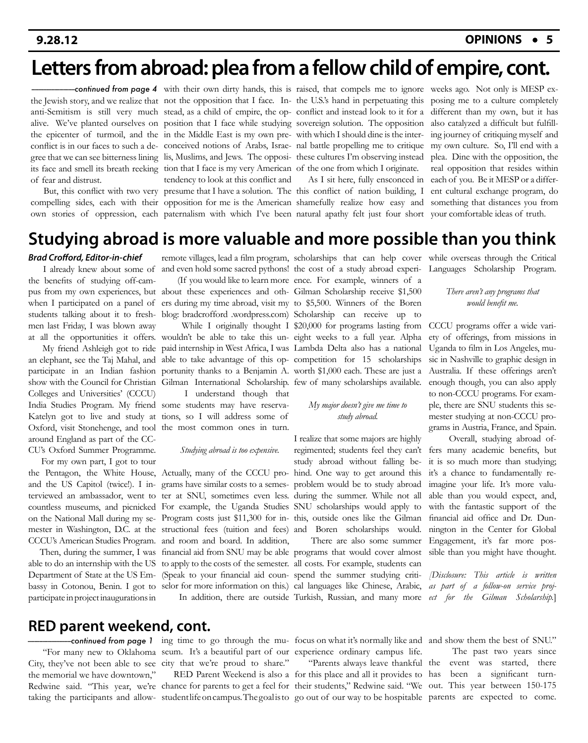## **Letters from abroad: plea from a fellow child of empire, cont.**

its face and smell its breath reeking tion that I face is my very American of the one from which I originate. of fear and distrust.

tendency to look at this conflict and

the Jewish story, and we realize that not the opposition that I face. In-the U.S.'s hand in perpetuating this anti-Semitism is still very much stead, as a child of empire, the op-conflict and instead look to it for a alive. We've planted ourselves on position that I face while studying sovereign solution. The opposition the epicenter of turmoil, and the in the Middle East is my own pre-with which I should dine is the interconflict is in our faces to such a de-conceived notions of Arabs, Israe-nal battle propelling me to critique gree that we can see bitterness lining lis, Muslims, and Jews. The opposi-these cultures I'm observing instead with their own dirty hands, this is raised, that compels me to ignore weeks ago. Not only is MESP ex-*--------------------------continued from page 4*

But, this conflict with two very presume that I have a solution. The this conflict of nation building, I compelling sides, each with their opposition for me is the American shamefully realize how easy and own stories of oppression, each paternalism with which I've been natural apathy felt just four short your comfortable ideas of truth. As I sit here, fully ensconced in

posing me to a culture completely different than my own, but it has also catalyzed a difficult but fulfilling journey of critiquing myself and my own culture. So, I'll end with a plea. Dine with the opposition, the real opposition that resides within each of you. Be it MESP or a different cultural exchange program, do something that distances you from

#### **Studying abroad is more valuable and more possible than you think**

*Brad Crofford, Editor-in-chief*

 I already knew about some of the benefits of studying off-camwhen I participated on a panel of students talking about it to freshmen last Friday, I was blown away

show with the Council for Christian Gilman International Scholarship. few of many scholarships available. Colleges and Universities' (CCCU) India Studies Program. My friend some students may have reserva-Katelyn got to live and study at tions, so I will address some of Oxford, visit Stonehenge, and tool the most common ones in turn. around England as part of the CC-CU's Oxford Summer Programme.

 For my own part, I got to tour the Pentagon, the White House, Actually, many of the CCCU pro-hind. One way to get around this and the US Capitol (twice!). I in-grams have similar costs to a semes-problem would be to study abroad terviewed an ambassador, went to ter at SNU, sometimes even less. during the summer. While not all countless museums, and picnicked For example, the Uganda Studies SNU scholarships would apply to on the National Mall during my se-Program costs just \$11,300 for in-this, outside ones like the Gilman mester in Washington, D.C. at the structional fees (tuition and fees) and Boren scholarships would.

able to do an internship with the US to apply to the costs of the semester. all costs. For example, students can Department of State at the US Em-(Speak to your financial aid coun-spend the summer studying critibassy in Cotonou, Benin. I got to selor for more information on this.) cal languages like Chinese, Arabic, as part of a follow-on service projparticipate in project inaugurations in

I understand though that

#### *Studying abroad is too expensive.*

CCCU's American Studies Program. and room and board. In addition,

pus from my own experiences, but about these experiences and oth-Gilman Scholarship receive \$1,500 at all the opportunities it offers. wouldn't be able to take this un-eight weeks to a full year. Alpha My friend Ashleigh got to ride paid internship in West Africa, I was Lambda Delta also has a national an elephant, see the Taj Mahal, and able to take advantage of this op-competition for 15 scholarships participate in an Indian fashion portunity thanks to a Benjamin A. worth \$1,000 each. These are just a remote villages, lead a film program, scholarships that can help cover while overseas through the Critical and even hold some sacred pythons! the cost of a study abroad experi-Languages Scholarship Program. (If you would like to learn more ence. For example, winners of a ers during my time abroad, visit my to \$5,500. Winners of the Boren blog: bradcrofford .wordpress.com) Scholarship can receive up to While I originally thought I \$20,000 for programs lasting from

#### *My major doesn't give me time to study abroad.*

I realize that some majors are highly regimented; students feel they can't study abroad without falling be-

 Then, during the summer, I was financial aid from SNU may be able programs that would cover almost There are also some summer

*There aren't any programs that would benefit me.*

CCCU programs offer a wide variety of offerings, from missions in Uganda to film in Los Angeles, music in Nashville to graphic design in Australia. If these offerings aren't enough though, you can also apply to non-CCCU programs. For example, there are SNU students this semester studying at non-CCCU programs in Austria, France, and Spain.

 Overall, studying abroad offers many academic benefits, but it is so much more than studying; it's a chance to fundamentally reimagine your life. It's more valuable than you would expect, and, with the fantastic support of the financial aid office and Dr. Dunnington in the Center for Global Engagement, it's far more possible than you might have thought.

 In addition, there are outside Turkish, Russian, and many more *ect for the Gilman Scholarship.*] *[Disclosure: This article is written* 

#### **RED parent weekend, cont.**

 "For many new to Oklahoma seum. It's a beautiful part of our experience ordinary campus life. City, they've not been able to see city that we're proud to share." the memorial we have downtown,"

ing time to go through the mu-focus on what it's normally like and and show them the best of SNU." *--------------------------continued from page 1*

taking the participants and allow- studentlife on campus. The goalisto go out of our way to be hospitable parents are expected to come.

Redwine said. "This year, we're chance for parents to get a feel for their students," Redwine said. "We out. This year between 150-175 RED Parent Weekend is also a for this place and all it provides to has been a significant turn- "Parents always leave thankful the event was started, there The past two years since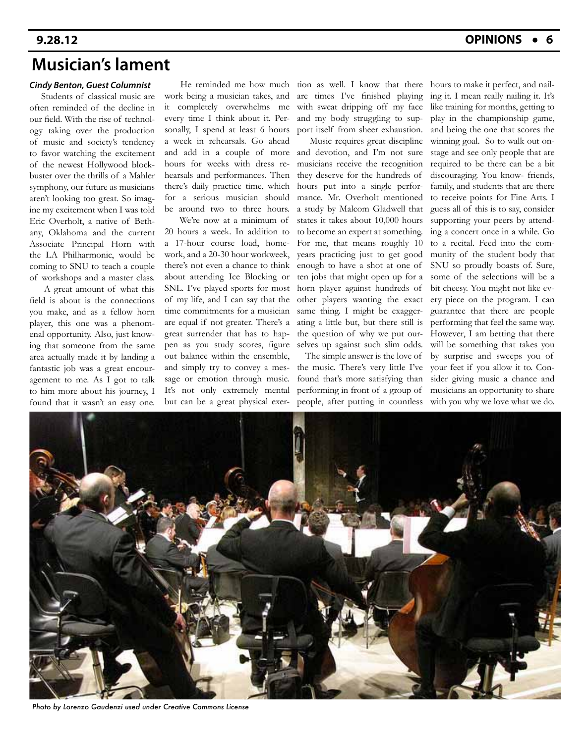### **Musician's lament**

#### *Cindy Benton, Guest Columnist*

 Students of classical music are often reminded of the decline in our field. With the rise of technology taking over the production of music and society's tendency to favor watching the excitement of the newest Hollywood blockbuster over the thrills of a Mahler symphony, our future as musicians aren't looking too great. So imagine my excitement when I was told Eric Overholt, a native of Bethany, Oklahoma and the current Associate Principal Horn with the LA Philharmonic, would be coming to SNU to teach a couple of workshops and a master class.

 A great amount of what this field is about is the connections you make, and as a fellow horn player, this one was a phenomenal opportunity. Also, just knowing that someone from the same area actually made it by landing a fantastic job was a great encouragement to me. As I got to talk to him more about his journey, I found that it wasn't an easy one.

 He reminded me how much work being a musician takes, and it completely overwhelms me every time I think about it. Personally, I spend at least 6 hours a week in rehearsals. Go ahead hours for weeks with dress rehearsals and performances. Then there's daily practice time, which for a serious musician should be around two to three hours.

 We're now at a minimum of 20 hours a week. In addition to a 17-hour course load, homework, and a 20-30 hour workweek, there's not even a chance to think about attending Ice Blocking or SNL. I've played sports for most of my life, and I can say that the time commitments for a musician are equal if not greater. There's a great surrender that has to happen as you study scores, figure out balance within the ensemble, and simply try to convey a message or emotion through music. It's not only extremely mental but can be a great physical exer-

tion as well. I know that there are times I've finished playing with sweat dripping off my face and my body struggling to support itself from sheer exhaustion.

and add in a couple of more and devotion, and I'm not sure Music requires great discipline musicians receive the recognition they deserve for the hundreds of hours put into a single performance. Mr. Overholt mentioned a study by Malcom Gladwell that states it takes about 10,000 hours to become an expert at something. For me, that means roughly 10 years practicing just to get good enough to have a shot at one of ten jobs that might open up for a horn player against hundreds of other players wanting the exact same thing. I might be exaggerating a little but, but there still is the question of why we put ourselves up against such slim odds.

> The simple answer is the love of the music. There's very little I've found that's more satisfying than performing in front of a group of people, after putting in countless

hours to make it perfect, and nailing it. I mean really nailing it. It's like training for months, getting to play in the championship game, and being the one that scores the winning goal. So to walk out onstage and see only people that are required to be there can be a bit discouraging. You know- friends, family, and students that are there to receive points for Fine Arts. I guess all of this is to say, consider supporting your peers by attending a concert once in a while. Go to a recital. Feed into the community of the student body that SNU so proudly boasts of. Sure, some of the selections will be a bit cheesy. You might not like every piece on the program. I can guarantee that there are people performing that feel the same way. However, I am betting that there will be something that takes you by surprise and sweeps you of your feet if you allow it to. Consider giving music a chance and musicians an opportunity to share with you why we love what we do.



*Photo by Lorenzo Gaudenzi used under Creative Commons License*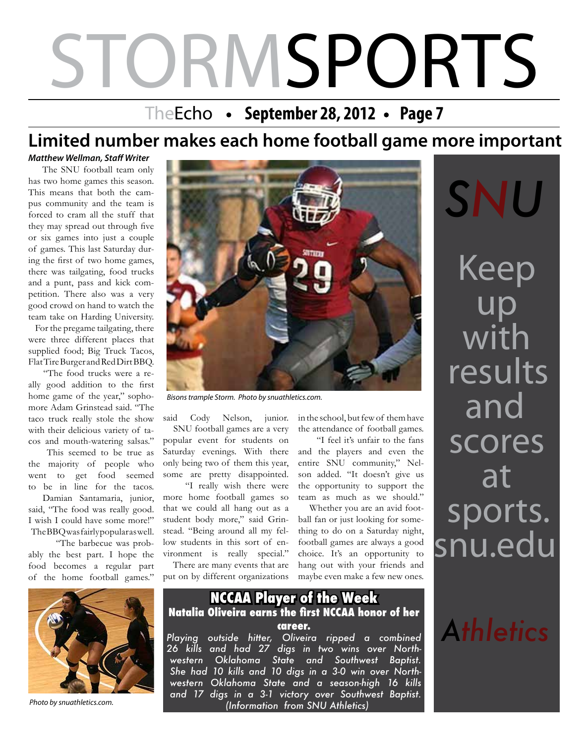# STORMSPORTS

## TheEcho • September 28, 2012 • Page 7

## **Limited number makes each home football game more important**

*Matthew Wellman, Staff Writer*

 The SNU football team only has two home games this season. This means that both the campus community and the team is forced to cram all the stuff that they may spread out through five or six games into just a couple of games. This last Saturday during the first of two home games, there was tailgating, food trucks and a punt, pass and kick competition. There also was a very good crowd on hand to watch the team take on Harding University.

 For the pregame tailgating, there were three different places that supplied food; Big Truck Tacos, Flat Tire Burger and Red Dirt BBQ.

 "The food trucks were a really good addition to the first home game of the year," sophomore Adam Grinstead said. "The taco truck really stole the show with their delicious variety of tacos and mouth-watering salsas."

 This seemed to be true as the majority of people who went to get food seemed to be in line for the tacos.

 Damian Santamaria, junior, said, "The food was really good. I wish I could have some more!" The BBQ was fairly popular as well.

 "The barbecue was probably the best part. I hope the food becomes a regular part of the home football games."



*Bisons trample Storm. Photo by snuathletics.com.*

said Cody Nelson, junior. SNU football games are a very popular event for students on Saturday evenings. With there only being two of them this year, some are pretty disappointed.

 "I really wish there were more home football games so that we could all hang out as a student body more," said Grinstead. "Being around all my fellow students in this sort of environment is really special."

 There are many events that are put on by different organizations

in the school, but few of them have the attendance of football games.

 "I feel it's unfair to the fans and the players and even the entire SNU community," Nelson added. "It doesn't give us the opportunity to support the team as much as we should."

 Whether you are an avid football fan or just looking for something to do on a Saturday night, football games are always a good choice. It's an opportunity to hang out with your friends and maybe even make a few new ones.

Keep up with results and scores at sports. snu.edu *SNU*

*Athletics*



*Photo by snuathletics.com.*

#### **NCCAA Player of the Week Natalia Oliveira earns the first NCCAA honor of her career.**

*Playing outside hitter, Oliveira ripped a combined 26 kills and had 27 digs in two wins over Northwestern Oklahoma State and Southwest Baptist. She had 10 kills and 10 digs in a 3-0 win over Northwestern Oklahoma State and a season-high 16 kills and 17 digs in a 3-1 victory over Southwest Baptist. (Information from SNU Athletics)*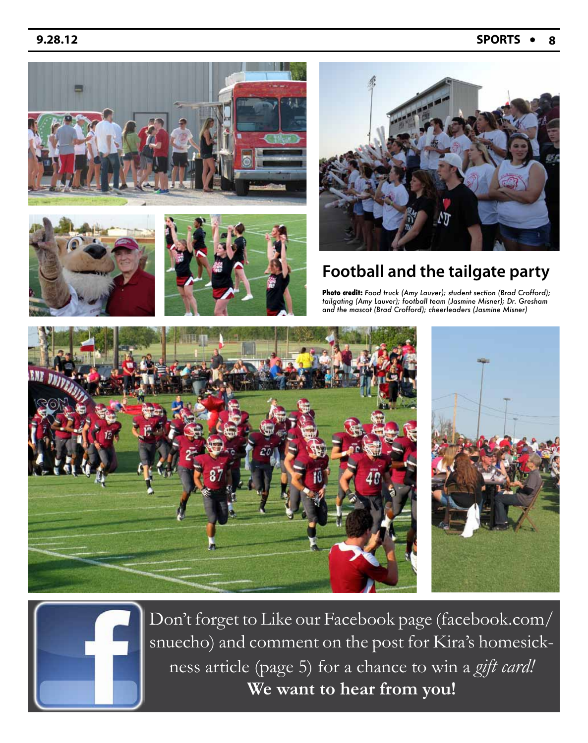#### **9.28.12 SPORTS 8**





![](_page_7_Picture_4.jpeg)

![](_page_7_Picture_5.jpeg)

### **Football and the tailgate party**

**Photo credit:** *Food truck (Amy Lauver); student section (Brad Crofford); tailgating (Amy Lauver); football team (Jasmine Misner); Dr. Gresham and the mascot (Brad Crofford); cheerleaders (Jasmine Misner)*

![](_page_7_Picture_8.jpeg)

![](_page_7_Picture_9.jpeg)

Don't forget to Like our Facebook page (facebook.com/ snuecho) and comment on the post for Kira's homesickness article (page 5) for a chance to win a *gift card!*  **We want to hear from you!**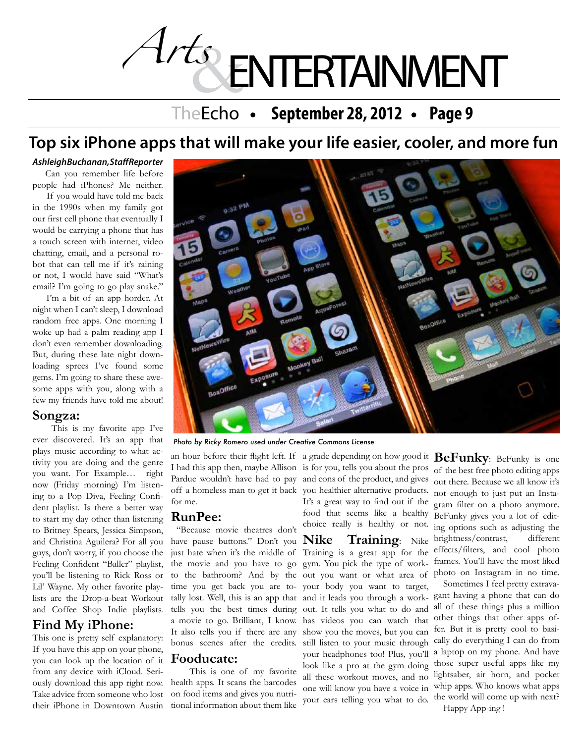# *Arts* ENTERTAINMENT

## TheEcho • September 28, 2012 • Page 9

## **Top six iPhone apps that will make your life easier, cooler, and more fun**

#### *Ashleigh Buchanan, Staff Reporter*

Can you remember life before people had iPhones? Me neither.

 If you would have told me back in the 1990s when my family got our first cell phone that eventually I would be carrying a phone that has a touch screen with internet, video chatting, email, and a personal robot that can tell me if it's raining or not, I would have said "What's email? I'm going to go play snake."

 I'm a bit of an app horder. At night when I can't sleep, I download random free apps. One morning I woke up had a palm reading app I don't even remember downloading. But, during these late night downloading sprees I've found some gems. I'm going to share these awesome apps with you, along with a few my friends have told me about!

#### **Songza:**

 This is my favorite app I've ever discovered. It's an app that plays music according to what activity you are doing and the genre you want. For Example… right now (Friday morning) I'm listening to a Pop Diva, Feeling Confident playlist. Is there a better way to start my day other than listening to Britney Spears, Jessica Simpson, and Christina Aguilera? For all you guys, don't worry, if you choose the Feeling Confident "Baller" playlist, you'll be listening to Rick Ross or Lil' Wayne. My other favorite playlists are the Drop-a-beat Workout and Coffee Shop Indie playlists.

#### **Find My iPhone:**

This one is pretty self explanatory: If you have this app on your phone, you can look up the location of it from any device with iCloud. Seriously download this app right now. Take advice from someone who lost their iPhone in Downtown Austin

![](_page_8_Picture_11.jpeg)

*Photo by Ricky Romero used under Creative Commons License*

off a homeless man to get it back you healthier alternative products. for me.

#### **RunPee:**

 "Because movie theatres don't have pause buttons." Don't you Nike the movie and you have to go time you get back you are totells you the best times during It also tells you if there are any bonus scenes after the credits.

#### **Fooducate:**

 This is one of my favorite health apps. It scans the barcodes on food items and gives you nutritional information about them like

an hour before their flight left. If a grade depending on how good it **BeFunky**: BeFunky is one just hate when it's the middle of Training is a great app for the to the bathroom? And by the out you want or what area of photo on Instagram in no time. tally lost. Well, this is an app that and it leads you through a work-gant having a phone that can do a movie to go. Brilliant, I know. has videos you can watch that It's a great way to find out if the food that seems like a healthy choice really is healthy or not. **Nike Training**: Nike gym. You pick the type of workyour body you want to target, out. It tells you what to do and show you the moves, but you can still listen to your music through your headphones too! Plus, you'll look like a pro at the gym doing all these workout moves, and no

I had this app then, maybe Allison is for you, tells you about the pros of the best free photo editing apps Pardue wouldn't have had to pay and cons of the product, and gives out there. Because we all know it's not enough to just put an Instagram filter on a photo anymore. BeFunky gives you a lot of editing options such as adjusting the brightness/contrast, different effects/filters, and cool photo frames. You'll have the most liked

one will know you have a voice in whip apps. Who knows what apps your ears telling you what to do. the world will come up with next? Sometimes I feel pretty extravaall of these things plus a million other things that other apps offer. But it is pretty cool to basically do everything I can do from a laptop on my phone. And have those super useful apps like my lightsaber, air horn, and pocket Happy App-ing !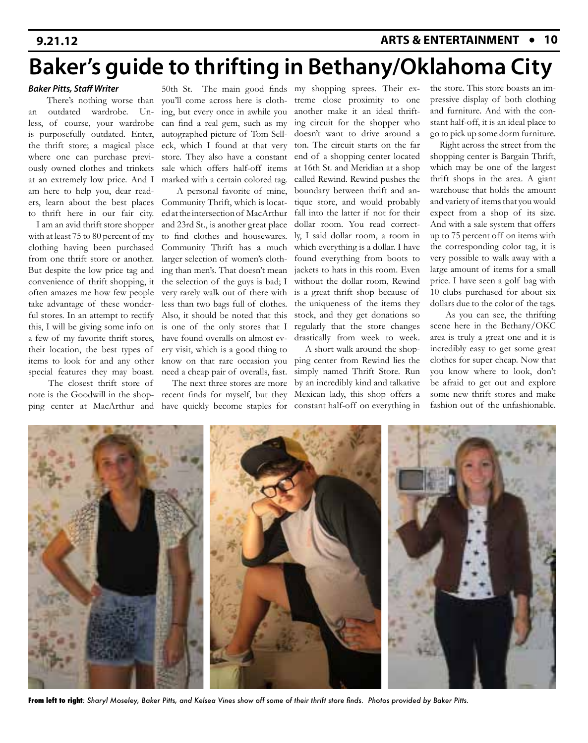# **Baker's guide to thrifting in Bethany/Oklahoma City**

#### *Baker Pitts, Staff Writer*

 There's nothing worse than an outdated wardrobe. Unless, of course, your wardrobe is purposefully outdated. Enter, the thrift store; a magical place where one can purchase previously owned clothes and trinkets at an extremely low price. And I am here to help you, dear readers, learn about the best places to thrift here in our fair city.

 I am an avid thrift store shopper with at least 75 to 80 percent of my clothing having been purchased from one thrift store or another. But despite the low price tag and convenience of thrift shopping, it often amazes me how few people take advantage of these wonderful stores. In an attempt to rectify this, I will be giving some info on a few of my favorite thrift stores, their location, the best types of items to look for and any other special features they may boast.

The closest thrift store of

can find a real gem, such as my autographed picture of Tom Selleck, which I found at that very sale which offers half-off items marked with a certain colored tag.

 A personal favorite of mine, Community Thrift, which is located at the intersection of MacArthur and 23rd St., is another great place to find clothes and housewares. Community Thrift has a much larger selection of women's cloththe selection of the guys is bad; I very rarely walk out of there with less than two bags full of clothes. Also, it should be noted that this is one of the only stores that I have found overalls on almost every visit, which is a good thing to

50th St. The main good finds my shopping sprees. Their exyou'll come across here is cloth-treme close proximity to one ing, but every once in awhile you another make it an ideal thriftstore. They also have a constant end of a shopping center located ing than men's. That doesn't mean jackets to hats in this room. Even ing circuit for the shopper who doesn't want to drive around a ton. The circuit starts on the far at 16th St. and Meridian at a shop called Rewind. Rewind pushes the boundary between thrift and antique store, and would probably fall into the latter if not for their dollar room. You read correctly, I said dollar room, a room in which everything is a dollar. I have found everything from boots to without the dollar room, Rewind is a great thrift shop because of the uniqueness of the items they stock, and they get donations so regularly that the store changes drastically from week to week.

note is the Goodwill in the shop-recent finds for myself, but they Mexican lady, this shop offers a ping center at MacArthur and have quickly become staples for constant half-off on everything in know on that rare occasion you ping center from Rewind lies the need a cheap pair of overalls, fast. simply named Thrift Store. Run The next three stores are more by an incredibly kind and talkative A short walk around the shop-

the store. This store boasts an impressive display of both clothing and furniture. And with the constant half-off, it is an ideal place to go to pick up some dorm furniture.

 Right across the street from the shopping center is Bargain Thrift, which may be one of the largest thrift shops in the area. A giant warehouse that holds the amount and variety of items that you would expect from a shop of its size. And with a sale system that offers up to 75 percent off on items with the corresponding color tag, it is very possible to walk away with a large amount of items for a small price. I have seen a golf bag with 10 clubs purchased for about six dollars due to the color of the tags.

 As you can see, the thrifting scene here in the Bethany/OKC area is truly a great one and it is incredibly easy to get some great clothes for super cheap. Now that you know where to look, don't be afraid to get out and explore some new thrift stores and make fashion out of the unfashionable.

![](_page_9_Picture_15.jpeg)

**From left to right***: Sharyl Moseley, Baker Pitts, and Kelsea Vines show off some of their thrift store finds. Photos provided by Baker Pitts.*